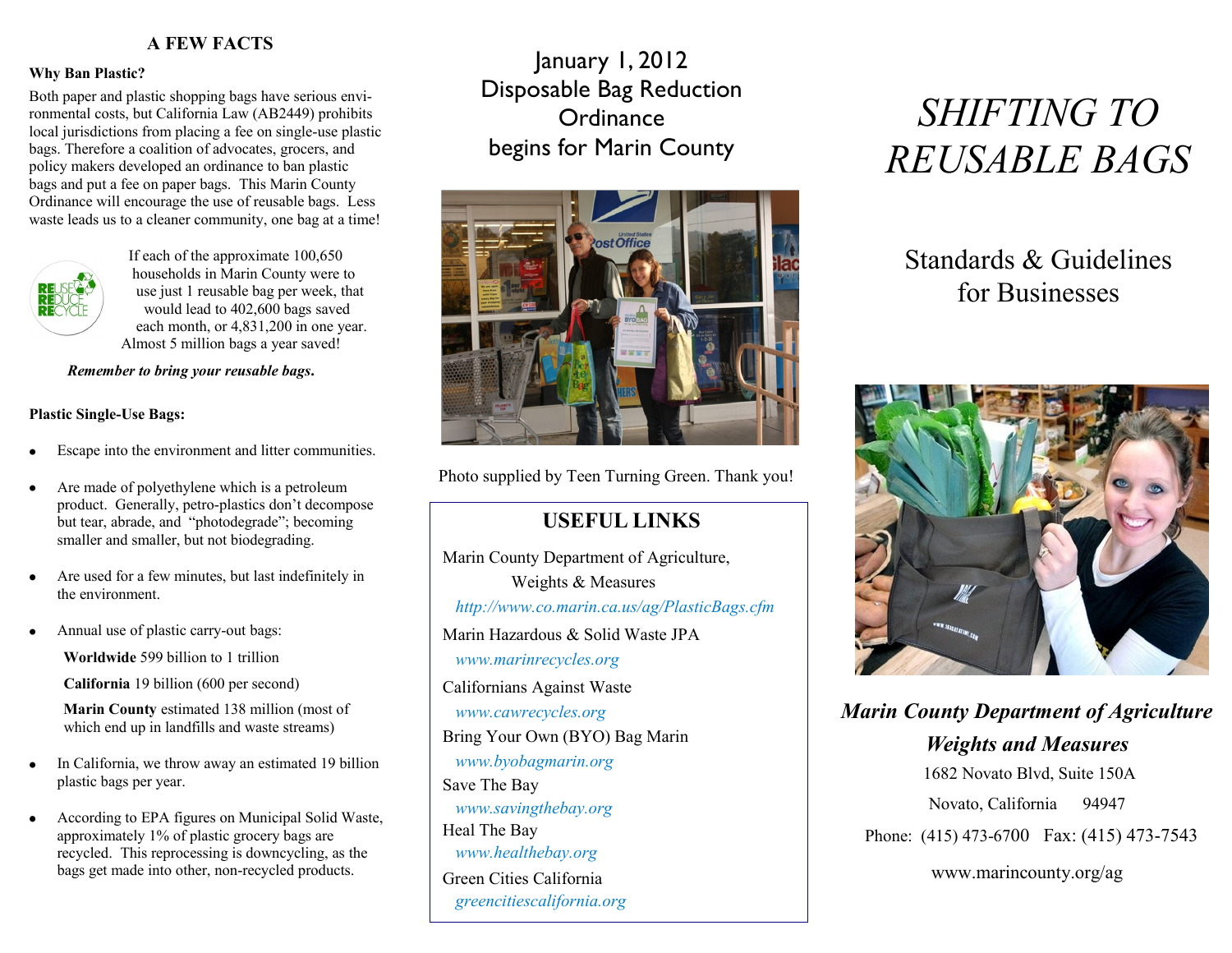### **A FEW FACTS**

#### **Why Ban Plastic?**

Both paper and plastic shopping bags have serious environmental costs, but California Law (AB2449) prohibits local jurisdictions from placing a fee on single-use plastic bags. Therefore a coalition of advocates, grocers, and policy makers developed an ordinance to ban plastic bags and put a fee on paper bags. This Marin County Ordinance will encourage the use of reusable bags. Less waste leads us to a cleaner community, one bag at a time!



 If each of the approximate 100,650 households in Marin County were to use just 1 reusable bag per week, that would lead to 402,600 bags saved each month, or 4,831,200 in one year. Almost 5 million bags a year saved!

#### *Remember to bring your reusable bags***.**

#### **Plastic Single-Use Bags:**

- Escape into the environment and litter communities.
- Are made of polyethylene which is a petroleum product. Generally, petro-plastics don't decompose but tear, abrade, and "photodegrade"; becoming smaller and smaller, but not biodegrading.
- Are used for a few minutes, but last indefinitely in the environment.
- Annual use of plastic carry-out bags:

**Worldwide** 599 billion to 1 trillion

**California** 19 billion (600 per second)

 **Marin County** estimated 138 million (most of which end up in landfills and waste streams)

- In California, we throw away an estimated 19 billion plastic bags per year.
- According to EPA figures on Municipal Solid Waste, approximately 1% of plastic grocery bags are recycled. This reprocessing is downcycling, as the bags get made into other, non-recycled products.

January 1, 2012 Disposable Bag Reduction **Ordinance** begins for Marin County



Photo supplied by Teen Turning Green. Thank you!

### **USEFUL LINKS**

 Marin County Department of Agriculture, Weights & Measures  *http://www.co.marin.ca.us/ag/PlasticBags.cfm* Marin Hazardous & Solid Waste JPA  *www.marinrecycles.org* Californians Against Waste *www.cawrecycles.org* Bring Your Own (BYO) Bag Marin *www.byobagmarin.org*  Save The Bay *www.savingthebay.org* Heal The Bay *www.healthebay.org* Green Cities California *greencitiescalifornia.org*

# *SHIFTING TO REUSABLE BAGS*

## Standards & Guidelines for Businesses



*Marin County Department of Agriculture Weights and Measures* 1682 Novato Blvd, Suite 150A Novato, California 94947 Phone: (415) 473-6700 Fax: (415) 473-7543

www.marincounty.org/ag